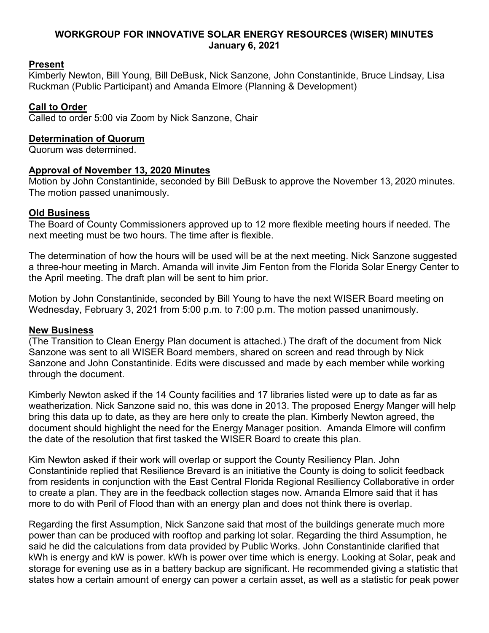## **WORKGROUP FOR INNOVATIVE SOLAR ENERGY RESOURCES (WISER) MINUTES January 6, 2021**

## **Present**

Kimberly Newton, Bill Young, Bill DeBusk, Nick Sanzone, John Constantinide, Bruce Lindsay, Lisa Ruckman (Public Participant) and Amanda Elmore (Planning & Development)

# **Call to Order**

Called to order 5:00 via Zoom by Nick Sanzone, Chair

## **Determination of Quorum**

Quorum was determined.

## **Approval of November 13, 2020 Minutes**

Motion by John Constantinide, seconded by Bill DeBusk to approve the November 13, 2020 minutes. The motion passed unanimously.

# **Old Business**

The Board of County Commissioners approved up to 12 more flexible meeting hours if needed. The next meeting must be two hours. The time after is flexible.

The determination of how the hours will be used will be at the next meeting. Nick Sanzone suggested a three-hour meeting in March. Amanda will invite Jim Fenton from the Florida Solar Energy Center to the April meeting. The draft plan will be sent to him prior.

Motion by John Constantinide, seconded by Bill Young to have the next WISER Board meeting on Wednesday, February 3, 2021 from 5:00 p.m. to 7:00 p.m. The motion passed unanimously.

### **New Business**

(The Transition to Clean Energy Plan document is attached.) The draft of the document from Nick Sanzone was sent to all WISER Board members, shared on screen and read through by Nick Sanzone and John Constantinide. Edits were discussed and made by each member while working through the document.

Kimberly Newton asked if the 14 County facilities and 17 libraries listed were up to date as far as weatherization. Nick Sanzone said no, this was done in 2013. The proposed Energy Manger will help bring this data up to date, as they are here only to create the plan. Kimberly Newton agreed, the document should highlight the need for the Energy Manager position. Amanda Elmore will confirm the date of the resolution that first tasked the WISER Board to create this plan.

Kim Newton asked if their work will overlap or support the County Resiliency Plan. John Constantinide replied that Resilience Brevard is an initiative the County is doing to solicit feedback from residents in conjunction with the East Central Florida Regional Resiliency Collaborative in order to create a plan. They are in the feedback collection stages now. Amanda Elmore said that it has more to do with Peril of Flood than with an energy plan and does not think there is overlap.

Regarding the first Assumption, Nick Sanzone said that most of the buildings generate much more power than can be produced with rooftop and parking lot solar. Regarding the third Assumption, he said he did the calculations from data provided by Public Works. John Constantinide clarified that kWh is energy and kW is power. kWh is power over time which is energy. Looking at Solar, peak and storage for evening use as in a battery backup are significant. He recommended giving a statistic that states how a certain amount of energy can power a certain asset, as well as a statistic for peak power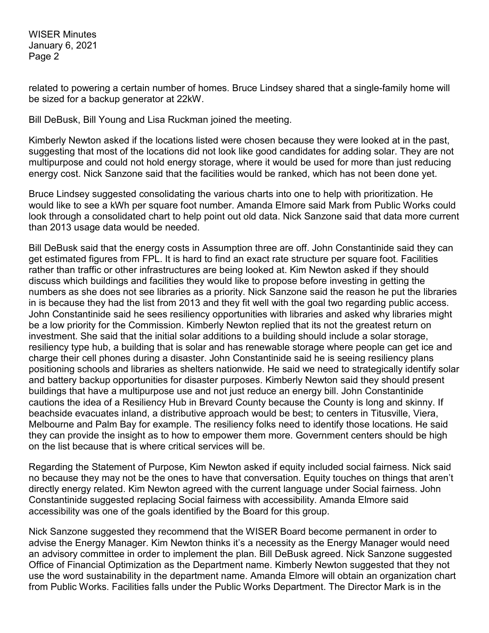WISER Minutes January 6, 2021 Page 2

related to powering a certain number of homes. Bruce Lindsey shared that a single-family home will be sized for a backup generator at 22kW.

Bill DeBusk, Bill Young and Lisa Ruckman joined the meeting.

Kimberly Newton asked if the locations listed were chosen because they were looked at in the past, suggesting that most of the locations did not look like good candidates for adding solar. They are not multipurpose and could not hold energy storage, where it would be used for more than just reducing energy cost. Nick Sanzone said that the facilities would be ranked, which has not been done yet.

Bruce Lindsey suggested consolidating the various charts into one to help with prioritization. He would like to see a kWh per square foot number. Amanda Elmore said Mark from Public Works could look through a consolidated chart to help point out old data. Nick Sanzone said that data more current than 2013 usage data would be needed.

Bill DeBusk said that the energy costs in Assumption three are off. John Constantinide said they can get estimated figures from FPL. It is hard to find an exact rate structure per square foot. Facilities rather than traffic or other infrastructures are being looked at. Kim Newton asked if they should discuss which buildings and facilities they would like to propose before investing in getting the numbers as she does not see libraries as a priority. Nick Sanzone said the reason he put the libraries in is because they had the list from 2013 and they fit well with the goal two regarding public access. John Constantinide said he sees resiliency opportunities with libraries and asked why libraries might be a low priority for the Commission. Kimberly Newton replied that its not the greatest return on investment. She said that the initial solar additions to a building should include a solar storage, resiliency type hub, a building that is solar and has renewable storage where people can get ice and charge their cell phones during a disaster. John Constantinide said he is seeing resiliency plans positioning schools and libraries as shelters nationwide. He said we need to strategically identify solar and battery backup opportunities for disaster purposes. Kimberly Newton said they should present buildings that have a multipurpose use and not just reduce an energy bill. John Constantinide cautions the idea of a Resiliency Hub in Brevard County because the County is long and skinny. If beachside evacuates inland, a distributive approach would be best; to centers in Titusville, Viera, Melbourne and Palm Bay for example. The resiliency folks need to identify those locations. He said they can provide the insight as to how to empower them more. Government centers should be high on the list because that is where critical services will be.

Regarding the Statement of Purpose, Kim Newton asked if equity included social fairness. Nick said no because they may not be the ones to have that conversation. Equity touches on things that aren't directly energy related. Kim Newton agreed with the current language under Social fairness. John Constantinide suggested replacing Social fairness with accessibility. Amanda Elmore said accessibility was one of the goals identified by the Board for this group.

Nick Sanzone suggested they recommend that the WISER Board become permanent in order to advise the Energy Manager. Kim Newton thinks it's a necessity as the Energy Manager would need an advisory committee in order to implement the plan. Bill DeBusk agreed. Nick Sanzone suggested Office of Financial Optimization as the Department name. Kimberly Newton suggested that they not use the word sustainability in the department name. Amanda Elmore will obtain an organization chart from Public Works. Facilities falls under the Public Works Department. The Director Mark is in the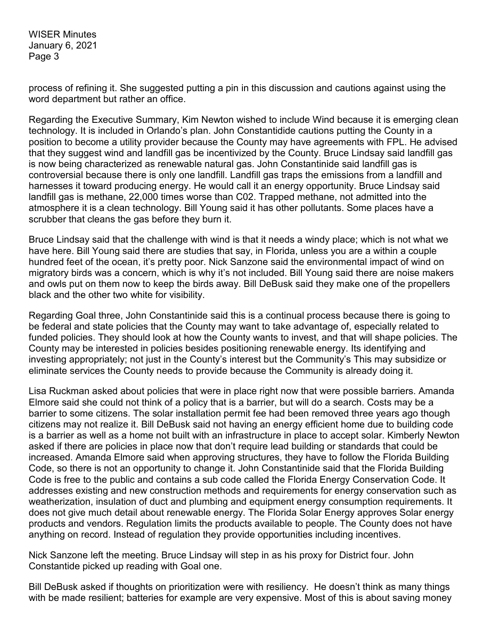WISER Minutes January 6, 2021 Page 3

process of refining it. She suggested putting a pin in this discussion and cautions against using the word department but rather an office.

Regarding the Executive Summary, Kim Newton wished to include Wind because it is emerging clean technology. It is included in Orlando's plan. John Constantidide cautions putting the County in a position to become a utility provider because the County may have agreements with FPL. He advised that they suggest wind and landfill gas be incentivized by the County. Bruce Lindsay said landfill gas is now being characterized as renewable natural gas. John Constantinide said landfill gas is controversial because there is only one landfill. Landfill gas traps the emissions from a landfill and harnesses it toward producing energy. He would call it an energy opportunity. Bruce Lindsay said landfill gas is methane, 22,000 times worse than C02. Trapped methane, not admitted into the atmosphere it is a clean technology. Bill Young said it has other pollutants. Some places have a scrubber that cleans the gas before they burn it.

Bruce Lindsay said that the challenge with wind is that it needs a windy place; which is not what we have here. Bill Young said there are studies that say, in Florida, unless you are a within a couple hundred feet of the ocean, it's pretty poor. Nick Sanzone said the environmental impact of wind on migratory birds was a concern, which is why it's not included. Bill Young said there are noise makers and owls put on them now to keep the birds away. Bill DeBusk said they make one of the propellers black and the other two white for visibility.

Regarding Goal three, John Constantinide said this is a continual process because there is going to be federal and state policies that the County may want to take advantage of, especially related to funded policies. They should look at how the County wants to invest, and that will shape policies. The County may be interested in policies besides positioning renewable energy. Its identifying and investing appropriately; not just in the County's interest but the Community's This may subsidize or eliminate services the County needs to provide because the Community is already doing it.

Lisa Ruckman asked about policies that were in place right now that were possible barriers. Amanda Elmore said she could not think of a policy that is a barrier, but will do a search. Costs may be a barrier to some citizens. The solar installation permit fee had been removed three years ago though citizens may not realize it. Bill DeBusk said not having an energy efficient home due to building code is a barrier as well as a home not built with an infrastructure in place to accept solar. Kimberly Newton asked if there are policies in place now that don't require lead building or standards that could be increased. Amanda Elmore said when approving structures, they have to follow the Florida Building Code, so there is not an opportunity to change it. John Constantinide said that the Florida Building Code is free to the public and contains a sub code called the Florida Energy Conservation Code. It addresses existing and new construction methods and requirements for energy conservation such as weatherization, insulation of duct and plumbing and equipment energy consumption requirements. It does not give much detail about renewable energy. The Florida Solar Energy approves Solar energy products and vendors. Regulation limits the products available to people. The County does not have anything on record. Instead of regulation they provide opportunities including incentives.

Nick Sanzone left the meeting. Bruce Lindsay will step in as his proxy for District four. John Constantide picked up reading with Goal one.

Bill DeBusk asked if thoughts on prioritization were with resiliency. He doesn't think as many things with be made resilient; batteries for example are very expensive. Most of this is about saving money